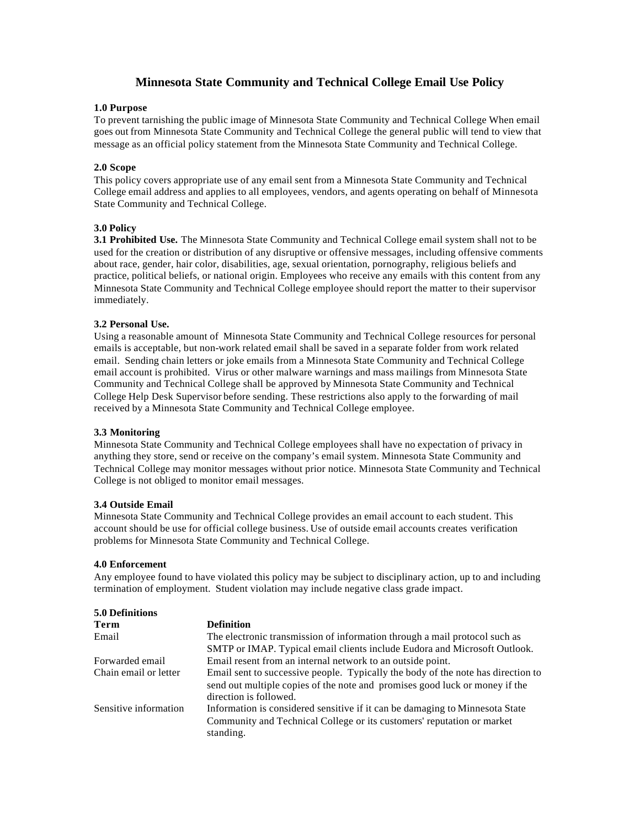# **Minnesota State Community and Technical College Email Use Policy**

## **1.0 Purpose**

To prevent tarnishing the public image of Minnesota State Community and Technical College When email goes out from Minnesota State Community and Technical College the general public will tend to view that message as an official policy statement from the Minnesota State Community and Technical College.

# **2.0 Scope**

This policy covers appropriate use of any email sent from a Minnesota State Community and Technical College email address and applies to all employees, vendors, and agents operating on behalf of Minnesota State Community and Technical College.

## **3.0 Policy**

**3.1 Prohibited Use.** The Minnesota State Community and Technical College email system shall not to be used for the creation or distribution of any disruptive or offensive messages, including offensive comments about race, gender, hair color, disabilities, age, sexual orientation, pornography, religious beliefs and practice, political beliefs, or national origin. Employees who receive any emails with this content from any Minnesota State Community and Technical College employee should report the matter to their supervisor immediately.

## **3.2 Personal Use.**

Using a reasonable amount of Minnesota State Community and Technical College resources for personal emails is acceptable, but non-work related email shall be saved in a separate folder from work related email. Sending chain letters or joke emails from a Minnesota State Community and Technical College email account is prohibited. Virus or other malware warnings and mass mailings from Minnesota State Community and Technical College shall be approved by Minnesota State Community and Technical College Help Desk Supervisor before sending. These restrictions also apply to the forwarding of mail received by a Minnesota State Community and Technical College employee.

#### **3.3 Monitoring**

Minnesota State Community and Technical College employees shall have no expectation of privacy in anything they store, send or receive on the company's email system. Minnesota State Community and Technical College may monitor messages without prior notice. Minnesota State Community and Technical College is not obliged to monitor email messages.

#### **3.4 Outside Email**

Minnesota State Community and Technical College provides an email account to each student. This account should be use for official college business. Use of outside email accounts creates verification problems for Minnesota State Community and Technical College.

#### **4.0 Enforcement**

Any employee found to have violated this policy may be subject to disciplinary action, up to and including termination of employment. Student violation may include negative class grade impact.

| <b>5.0 Definitions</b> |                                                                                                                                                                                           |
|------------------------|-------------------------------------------------------------------------------------------------------------------------------------------------------------------------------------------|
| Term                   | <b>Definition</b>                                                                                                                                                                         |
| Email                  | The electronic transmission of information through a mail protocol such as                                                                                                                |
|                        | SMTP or IMAP. Typical email clients include Eudora and Microsoft Outlook.                                                                                                                 |
| Forwarded email        | Email resent from an internal network to an outside point.                                                                                                                                |
| Chain email or letter  | Email sent to successive people. Typically the body of the note has direction to<br>send out multiple copies of the note and promises good luck or money if the<br>direction is followed. |
| Sensitive information  | Information is considered sensitive if it can be damaging to Minnesota State<br>Community and Technical College or its customers' reputation or market<br>standing.                       |